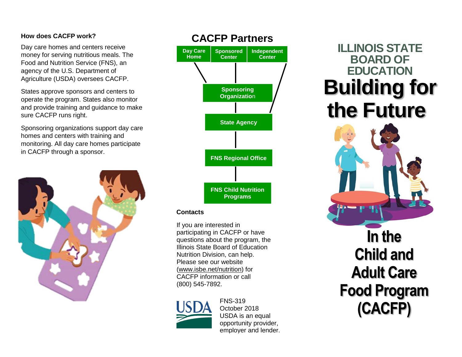#### **How does CACFP work?**

Day care homes and centers receive money for serving nutritious meals. The Food and Nutrition Service (FNS), an agency of the U.S. Department of Agriculture (USDA) oversees CACFP.

States approve sponsors and centers to operate the program. States also monitor and provide training and guidance to make sure CACFP runs right.

Sponsoring organizations support day care homes and centers with training and monitoring. All day care homes participate in CACFP through a sponsor.







#### **Contacts**

If you are interested in participating in CACFP or have questions about the program, the Illinois State Board of Education Nutrition Division, can help. Please see our website (www.isbe.net/nutrition) for CACFP information or call (800) 545-7892.



FNS-319 October 2018 USDA is an equal opportunity provider, employer and lender.

## **ILLINOIS STATE BOARD OF EDUCATION Building for the Future**



In the **Child and Adult Care Food Program** (CACFP)